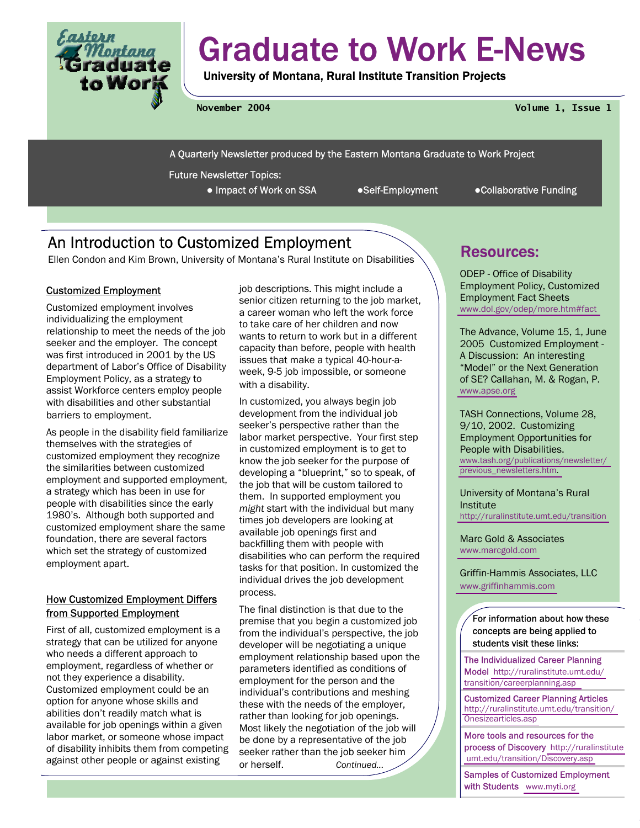

# Graduate to Work E-News

University of Montana, Rural Institute Transition Projects

**November 2004 Volume 1, Issue 1** 

A Quarterly Newsletter produced by the Eastern Montana Graduate to Work Project

Future Newsletter Topics:

● Impact of Work on SSA ●Self-Employment ●Collaborative Funding

# An Introduction to Customized Employment

Fig. 2.1 The Canadian Condon and Kim Brown, University of Montana's Rural Institute on Disabilities Resources:

### Customized Employment

Customized employment involves individualizing the employment relationship to meet the needs of the job seeker and the employer. The concept was first introduced in 2001 by the US department of Labor's Office of Disability Employment Policy, as a strategy to assist Workforce centers employ people with disabilities and other substantial barriers to employment.

As people in the disability field familiarize themselves with the strategies of customized employment they recognize the similarities between customized employment and supported employment, a strategy which has been in use for people with disabilities since the early 1980's. Although both supported and customized employment share the same foundation, there are several factors which set the strategy of customized employment apart.

#### How Customized Employment Differs from Supported Employment

First of all, customized employment is a strategy that can be utilized for anyone who needs a different approach to employment, regardless of whether or not they experience a disability. Customized employment could be an option for anyone whose skills and abilities don't readily match what is available for job openings within a given labor market, or someone whose impact of disability inhibits them from competing against other people or against existing

job descriptions. This might include a senior citizen returning to the job market, a career woman who left the work force to take care of her children and now wants to return to work but in a different capacity than before, people with health issues that make a typical 40-hour-aweek, 9-5 job impossible, or someone with a disability.

In customized, you always begin job development from the individual job seeker's perspective rather than the labor market perspective. Your first step in customized employment is to get to know the job seeker for the purpose of developing a "blueprint," so to speak, of the job that will be custom tailored to them. In supported employment you *might* start with the individual but many times job developers are looking at available job openings first and backfilling them with people with disabilities who can perform the required tasks for that position. In customized the individual drives the job development process.

The final distinction is that due to the premise that you begin a customized job from the individual's perspective, the job developer will be negotiating a unique employment relationship based upon the parameters identified as conditions of employment for the person and the individual's contributions and meshing these with the needs of the employer, rather than looking for job openings. Most likely the negotiation of the job will be done by a representative of the job seeker rather than the job seeker him or herself. *Continued...*

ODEP - Office of Disability Employment Policy, Customized Employment Fact Sheets [www.dol.gov/odep/more.htm#fact](http://www.dol.gov/odep/more.htm#fact) 

The Advance, Volume 15, 1, June 2005 Customized Employment - A Discussion: An interesting "Model" or the Next Generation of SE? Callahan, M. & Rogan, P. [www.apse.org](http://www.apse.org) 

TASH Connections, Volume 28, 9/10, 2002. Customizing Employment Opportunities for People with Disabilities. [www.tash.org/publications/newsletter/](http://www.tash.org/publications/newsletter/previous_newsletters.htm) [previous\\_newsletters.htm.](http://www.tash.org/publications/newsletter/previous_newsletters.htm) 

University of Montana's Rural Institute <http://ruralinstitute.umt.edu/transition>

Marc Gold & Associates [www.marcgold.com](http://www.marcgold.com)

Griffin-Hammis Associates, LLC [www.griffinhammis.com](http://www.griffinhammis.com)

For information about how these concepts are being applied to students visit these links:

The Individualized Career Planning Model [http://ruralinstitute.umt.edu/](http://ruralinstitute.umt.edu/transition/careerplanning.asp) [transition/careerplanning.asp](http://ruralinstitute.umt.edu/transition/careerplanning.asp) 

Customized Career Planning Articles [http://ruralinstitute.umt.edu/transition/](http://ruralinstitute.umt.edu/transition/Onesizearticles.asp) [Onesizearticles.asp](http://ruralinstitute.umt.edu/transition/Onesizearticles.asp) 

More tools and resources for the process of Discovery http://ruralinstitute  [umt.edu/transition/Discovery.asp](http://ruralinstitute.umt.edu/transition/Discovery.asp) 

Samples of Customized Employment with Students [www.myti.org](http://www.myti.org)